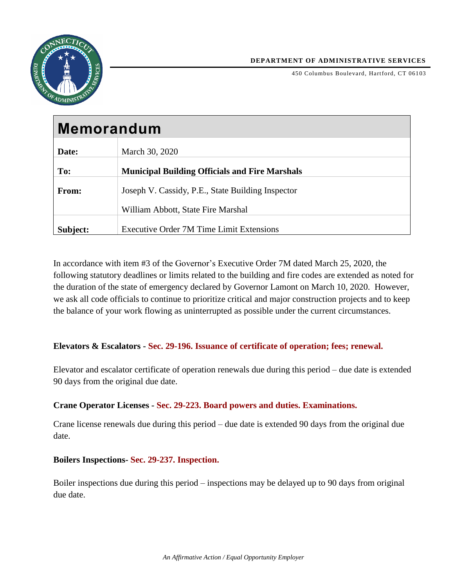

450 Columbus Boulevard, Hartford, CT 06103

| <b>Memorandum</b> |                                                       |
|-------------------|-------------------------------------------------------|
| Date:             | March 30, 2020                                        |
| To:               | <b>Municipal Building Officials and Fire Marshals</b> |
| From:             | Joseph V. Cassidy, P.E., State Building Inspector     |
|                   | William Abbott, State Fire Marshal                    |
| Subject:          | <b>Executive Order 7M Time Limit Extensions</b>       |

In accordance with item #3 of the Governor's Executive Order 7M dated March 25, 2020, the following statutory deadlines or limits related to the building and fire codes are extended as noted for the duration of the state of emergency declared by Governor Lamont on March 10, 2020. However, we ask all code officials to continue to prioritize critical and major construction projects and to keep the balance of your work flowing as uninterrupted as possible under the current circumstances.

#### **Elevators & Escalators - Sec. 29-196. Issuance of certificate of operation; fees; renewal.**

Elevator and escalator certificate of operation renewals due during this period – due date is extended 90 days from the original due date.

#### **Crane Operator Licenses - Sec. 29-223. Board powers and duties. Examinations.**

Crane license renewals due during this period – due date is extended 90 days from the original due date.

#### **Boilers Inspections- Sec. 29-237. Inspection.**

Boiler inspections due during this period – inspections may be delayed up to 90 days from original due date.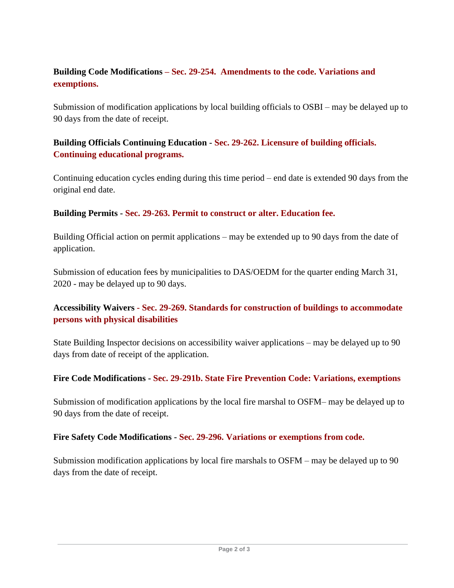# **Building Code Modifications – Sec. 29-254. Amendments to the code. Variations and exemptions.**

Submission of modification applications by local building officials to OSBI – may be delayed up to 90 days from the date of receipt.

## **Building Officials Continuing Education - Sec. 29-262. Licensure of building officials. Continuing educational programs.**

Continuing education cycles ending during this time period – end date is extended 90 days from the original end date.

### **Building Permits - Sec. 29-263. Permit to construct or alter. Education fee.**

Building Official action on permit applications – may be extended up to 90 days from the date of application.

Submission of education fees by municipalities to DAS/OEDM for the quarter ending March 31, 2020 - may be delayed up to 90 days.

## **Accessibility Waivers - Sec. 29-269. Standards for construction of buildings to accommodate persons with physical disabilities**

State Building Inspector decisions on accessibility waiver applications – may be delayed up to 90 days from date of receipt of the application.

### **Fire Code Modifications - Sec. 29-291b. State Fire Prevention Code: Variations, exemptions**

Submission of modification applications by the local fire marshal to OSFM– may be delayed up to 90 days from the date of receipt.

### **Fire Safety Code Modifications - Sec. 29-296. Variations or exemptions from code.**

Submission modification applications by local fire marshals to OSFM – may be delayed up to 90 days from the date of receipt.